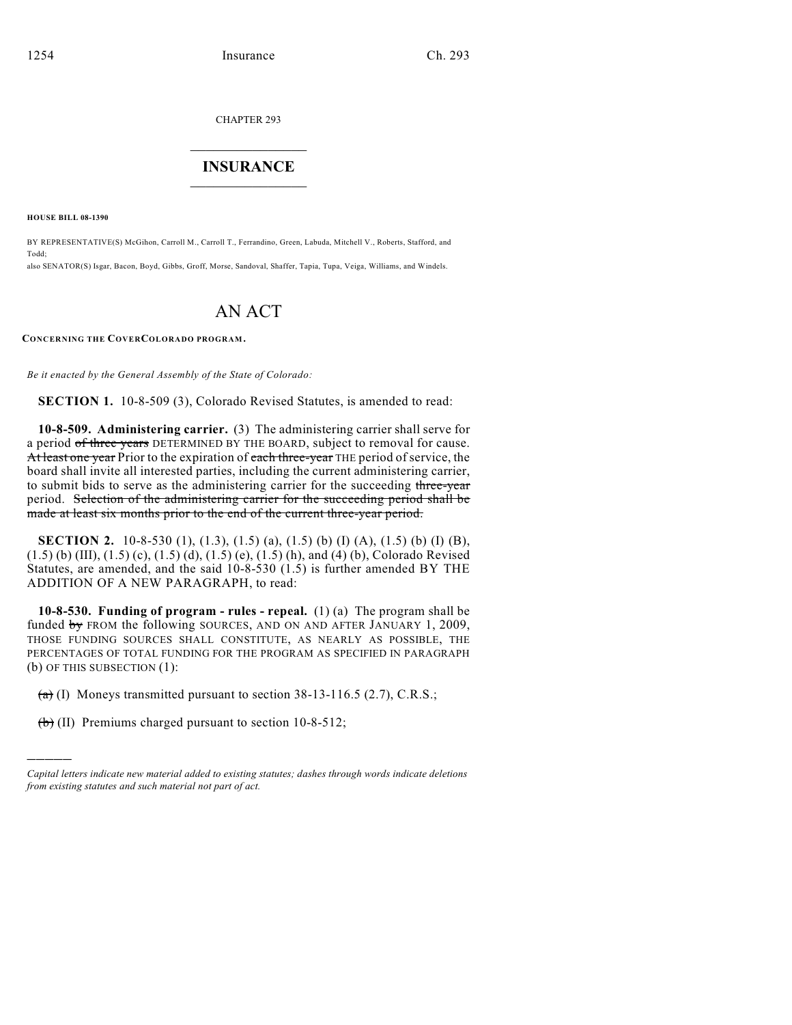CHAPTER 293

## $\mathcal{L}_\text{max}$  . The set of the set of the set of the set of the set of the set of the set of the set of the set of the set of the set of the set of the set of the set of the set of the set of the set of the set of the set **INSURANCE**  $\frac{1}{2}$  ,  $\frac{1}{2}$  ,  $\frac{1}{2}$  ,  $\frac{1}{2}$  ,  $\frac{1}{2}$  ,  $\frac{1}{2}$  ,  $\frac{1}{2}$

**HOUSE BILL 08-1390**

)))))

BY REPRESENTATIVE(S) McGihon, Carroll M., Carroll T., Ferrandino, Green, Labuda, Mitchell V., Roberts, Stafford, and Todd; also SENATOR(S) Isgar, Bacon, Boyd, Gibbs, Groff, Morse, Sandoval, Shaffer, Tapia, Tupa, Veiga, Williams, and Windels.

## AN ACT

**CONCERNING THE COVERCOLORADO PROGRAM.**

*Be it enacted by the General Assembly of the State of Colorado:*

**SECTION 1.** 10-8-509 (3), Colorado Revised Statutes, is amended to read:

**10-8-509. Administering carrier.** (3) The administering carrier shall serve for a period of three years DETERMINED BY THE BOARD, subject to removal for cause. At least one year Prior to the expiration of each three-year THE period of service, the board shall invite all interested parties, including the current administering carrier, to submit bids to serve as the administering carrier for the succeeding three-year period. Selection of the administering carrier for the succeeding period shall be made at least six months prior to the end of the current three-year period.

**SECTION 2.** 10-8-530 (1), (1.3), (1.5) (a), (1.5) (b) (I) (A), (1.5) (b) (I) (B), (1.5) (b) (III), (1.5) (c), (1.5) (d), (1.5) (e), (1.5) (h), and (4) (b), Colorado Revised Statutes, are amended, and the said 10-8-530 (1.5) is further amended BY THE ADDITION OF A NEW PARAGRAPH, to read:

**10-8-530. Funding of program - rules - repeal.** (1) (a) The program shall be funded by FROM the following SOURCES, AND ON AND AFTER JANUARY 1, 2009, THOSE FUNDING SOURCES SHALL CONSTITUTE, AS NEARLY AS POSSIBLE, THE PERCENTAGES OF TOTAL FUNDING FOR THE PROGRAM AS SPECIFIED IN PARAGRAPH (b) OF THIS SUBSECTION (1):

 $(a)$  (I) Moneys transmitted pursuant to section 38-13-116.5 (2.7), C.R.S.;

 $(b)$  (II) Premiums charged pursuant to section 10-8-512;

*Capital letters indicate new material added to existing statutes; dashes through words indicate deletions from existing statutes and such material not part of act.*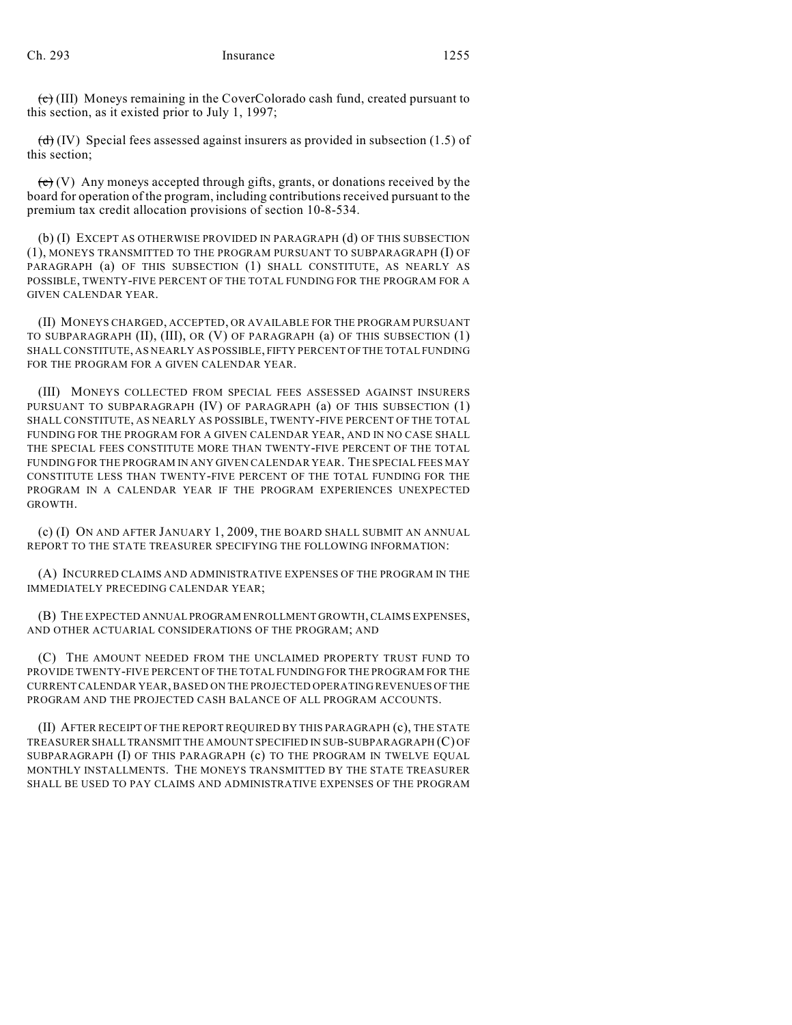$\overline{(c)}$  (III) Moneys remaining in the CoverColorado cash fund, created pursuant to this section, as it existed prior to July 1, 1997;

 $(d)$  (IV) Special fees assessed against insurers as provided in subsection (1.5) of this section;

 $(e)$  (V) Any moneys accepted through gifts, grants, or donations received by the board for operation of the program, including contributions received pursuant to the premium tax credit allocation provisions of section 10-8-534.

(b) (I) EXCEPT AS OTHERWISE PROVIDED IN PARAGRAPH (d) OF THIS SUBSECTION (1), MONEYS TRANSMITTED TO THE PROGRAM PURSUANT TO SUBPARAGRAPH (I) OF PARAGRAPH (a) OF THIS SUBSECTION (1) SHALL CONSTITUTE, AS NEARLY AS POSSIBLE, TWENTY-FIVE PERCENT OF THE TOTAL FUNDING FOR THE PROGRAM FOR A GIVEN CALENDAR YEAR.

(II) MONEYS CHARGED, ACCEPTED, OR AVAILABLE FOR THE PROGRAM PURSUANT TO SUBPARAGRAPH (II), (III), OR (V) OF PARAGRAPH (a) OF THIS SUBSECTION (1) SHALL CONSTITUTE, AS NEARLY AS POSSIBLE, FIFTY PERCENT OF THE TOTAL FUNDING FOR THE PROGRAM FOR A GIVEN CALENDAR YEAR.

(III) MONEYS COLLECTED FROM SPECIAL FEES ASSESSED AGAINST INSURERS PURSUANT TO SUBPARAGRAPH (IV) OF PARAGRAPH (a) OF THIS SUBSECTION (1) SHALL CONSTITUTE, AS NEARLY AS POSSIBLE, TWENTY-FIVE PERCENT OF THE TOTAL FUNDING FOR THE PROGRAM FOR A GIVEN CALENDAR YEAR, AND IN NO CASE SHALL THE SPECIAL FEES CONSTITUTE MORE THAN TWENTY-FIVE PERCENT OF THE TOTAL FUNDING FOR THE PROGRAM IN ANY GIVEN CALENDAR YEAR. THE SPECIAL FEES MAY CONSTITUTE LESS THAN TWENTY-FIVE PERCENT OF THE TOTAL FUNDING FOR THE PROGRAM IN A CALENDAR YEAR IF THE PROGRAM EXPERIENCES UNEXPECTED GROWTH.

(c) (I) ON AND AFTER JANUARY 1, 2009, THE BOARD SHALL SUBMIT AN ANNUAL REPORT TO THE STATE TREASURER SPECIFYING THE FOLLOWING INFORMATION:

(A) INCURRED CLAIMS AND ADMINISTRATIVE EXPENSES OF THE PROGRAM IN THE IMMEDIATELY PRECEDING CALENDAR YEAR;

(B) THE EXPECTED ANNUAL PROGRAM ENROLLMENT GROWTH, CLAIMS EXPENSES, AND OTHER ACTUARIAL CONSIDERATIONS OF THE PROGRAM; AND

(C) THE AMOUNT NEEDED FROM THE UNCLAIMED PROPERTY TRUST FUND TO PROVIDE TWENTY-FIVE PERCENT OF THE TOTAL FUNDING FOR THE PROGRAM FOR THE CURRENT CALENDAR YEAR, BASED ON THE PROJECTED OPERATING REVENUES OF THE PROGRAM AND THE PROJECTED CASH BALANCE OF ALL PROGRAM ACCOUNTS.

(II) AFTER RECEIPT OF THE REPORT REQUIRED BY THIS PARAGRAPH (c), THE STATE TREASURER SHALL TRANSMIT THE AMOUNT SPECIFIED IN SUB-SUBPARAGRAPH (C) OF SUBPARAGRAPH (I) OF THIS PARAGRAPH (c) TO THE PROGRAM IN TWELVE EQUAL MONTHLY INSTALLMENTS. THE MONEYS TRANSMITTED BY THE STATE TREASURER SHALL BE USED TO PAY CLAIMS AND ADMINISTRATIVE EXPENSES OF THE PROGRAM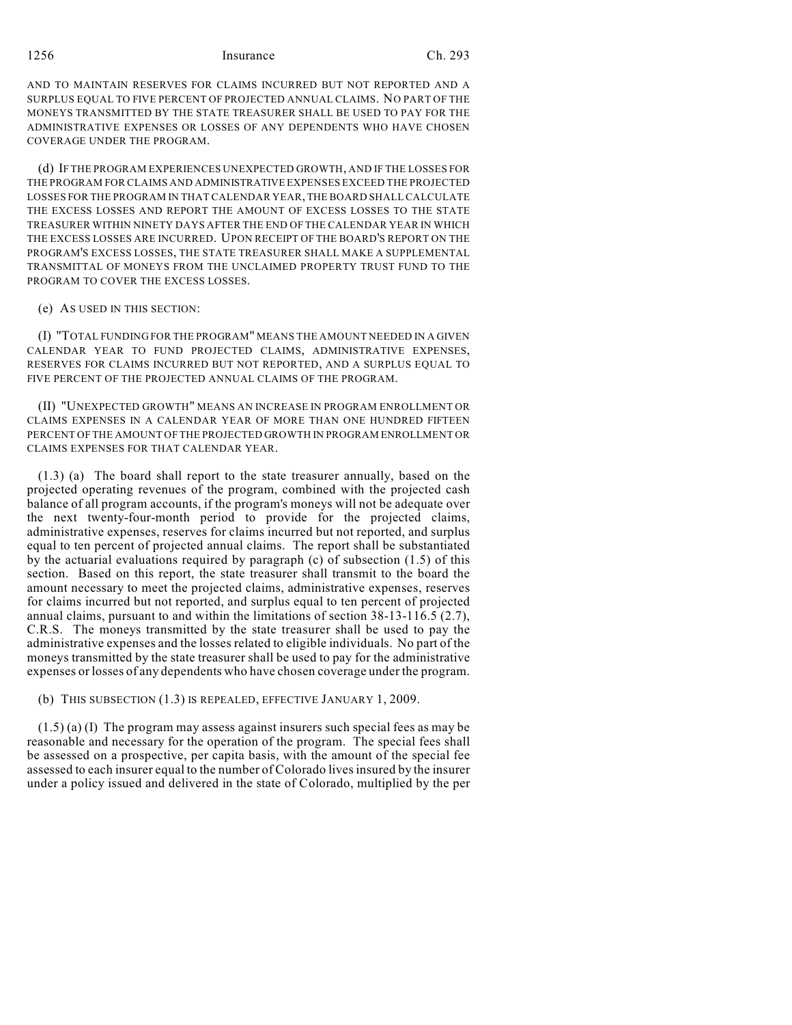1256 Insurance Ch. 293

AND TO MAINTAIN RESERVES FOR CLAIMS INCURRED BUT NOT REPORTED AND A SURPLUS EQUAL TO FIVE PERCENT OF PROJECTED ANNUAL CLAIMS. NO PART OF THE MONEYS TRANSMITTED BY THE STATE TREASURER SHALL BE USED TO PAY FOR THE ADMINISTRATIVE EXPENSES OR LOSSES OF ANY DEPENDENTS WHO HAVE CHOSEN COVERAGE UNDER THE PROGRAM.

(d) IF THE PROGRAM EXPERIENCES UNEXPECTED GROWTH, AND IF THE LOSSES FOR THE PROGRAM FOR CLAIMS AND ADMINISTRATIVE EXPENSES EXCEED THE PROJECTED LOSSES FOR THE PROGRAM IN THAT CALENDAR YEAR, THE BOARD SHALL CALCULATE THE EXCESS LOSSES AND REPORT THE AMOUNT OF EXCESS LOSSES TO THE STATE TREASURER WITHIN NINETY DAYS AFTER THE END OF THE CALENDAR YEAR IN WHICH THE EXCESS LOSSES ARE INCURRED. UPON RECEIPT OF THE BOARD'S REPORT ON THE PROGRAM'S EXCESS LOSSES, THE STATE TREASURER SHALL MAKE A SUPPLEMENTAL TRANSMITTAL OF MONEYS FROM THE UNCLAIMED PROPERTY TRUST FUND TO THE PROGRAM TO COVER THE EXCESS LOSSES.

(e) AS USED IN THIS SECTION:

(I) "TOTAL FUNDING FOR THE PROGRAM" MEANS THE AMOUNT NEEDED IN A GIVEN CALENDAR YEAR TO FUND PROJECTED CLAIMS, ADMINISTRATIVE EXPENSES, RESERVES FOR CLAIMS INCURRED BUT NOT REPORTED, AND A SURPLUS EQUAL TO FIVE PERCENT OF THE PROJECTED ANNUAL CLAIMS OF THE PROGRAM.

(II) "UNEXPECTED GROWTH" MEANS AN INCREASE IN PROGRAM ENROLLMENT OR CLAIMS EXPENSES IN A CALENDAR YEAR OF MORE THAN ONE HUNDRED FIFTEEN PERCENT OF THE AMOUNT OF THE PROJECTED GROWTH IN PROGRAM ENROLLMENT OR CLAIMS EXPENSES FOR THAT CALENDAR YEAR.

(1.3) (a) The board shall report to the state treasurer annually, based on the projected operating revenues of the program, combined with the projected cash balance of all program accounts, if the program's moneys will not be adequate over the next twenty-four-month period to provide for the projected claims, administrative expenses, reserves for claims incurred but not reported, and surplus equal to ten percent of projected annual claims. The report shall be substantiated by the actuarial evaluations required by paragraph (c) of subsection (1.5) of this section. Based on this report, the state treasurer shall transmit to the board the amount necessary to meet the projected claims, administrative expenses, reserves for claims incurred but not reported, and surplus equal to ten percent of projected annual claims, pursuant to and within the limitations of section 38-13-116.5 (2.7), C.R.S. The moneys transmitted by the state treasurer shall be used to pay the administrative expenses and the losses related to eligible individuals. No part of the moneys transmitted by the state treasurer shall be used to pay for the administrative expenses or losses of any dependents who have chosen coverage under the program.

(b) THIS SUBSECTION (1.3) IS REPEALED, EFFECTIVE JANUARY 1, 2009.

(1.5) (a) (I) The program may assess against insurers such special fees as may be reasonable and necessary for the operation of the program. The special fees shall be assessed on a prospective, per capita basis, with the amount of the special fee assessed to each insurer equal to the number of Colorado lives insured by the insurer under a policy issued and delivered in the state of Colorado, multiplied by the per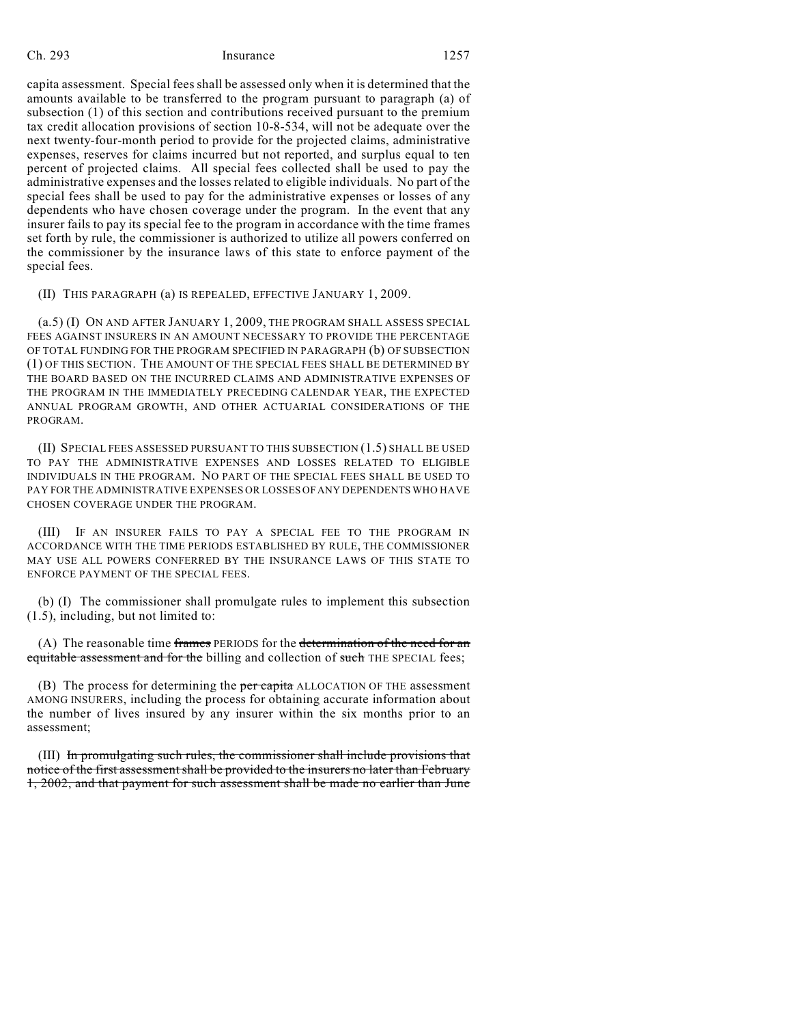## Ch. 293 Insurance 1257

capita assessment. Special fees shall be assessed only when it is determined that the amounts available to be transferred to the program pursuant to paragraph (a) of subsection (1) of this section and contributions received pursuant to the premium tax credit allocation provisions of section 10-8-534, will not be adequate over the next twenty-four-month period to provide for the projected claims, administrative expenses, reserves for claims incurred but not reported, and surplus equal to ten percent of projected claims. All special fees collected shall be used to pay the administrative expenses and the losses related to eligible individuals. No part of the special fees shall be used to pay for the administrative expenses or losses of any dependents who have chosen coverage under the program. In the event that any insurer fails to pay its special fee to the program in accordance with the time frames set forth by rule, the commissioner is authorized to utilize all powers conferred on the commissioner by the insurance laws of this state to enforce payment of the special fees.

(II) THIS PARAGRAPH (a) IS REPEALED, EFFECTIVE JANUARY 1, 2009.

(a.5) (I) ON AND AFTER JANUARY 1, 2009, THE PROGRAM SHALL ASSESS SPECIAL FEES AGAINST INSURERS IN AN AMOUNT NECESSARY TO PROVIDE THE PERCENTAGE OF TOTAL FUNDING FOR THE PROGRAM SPECIFIED IN PARAGRAPH (b) OF SUBSECTION (1) OF THIS SECTION. THE AMOUNT OF THE SPECIAL FEES SHALL BE DETERMINED BY THE BOARD BASED ON THE INCURRED CLAIMS AND ADMINISTRATIVE EXPENSES OF THE PROGRAM IN THE IMMEDIATELY PRECEDING CALENDAR YEAR, THE EXPECTED ANNUAL PROGRAM GROWTH, AND OTHER ACTUARIAL CONSIDERATIONS OF THE PROGRAM.

(II) SPECIAL FEES ASSESSED PURSUANT TO THIS SUBSECTION (1.5) SHALL BE USED TO PAY THE ADMINISTRATIVE EXPENSES AND LOSSES RELATED TO ELIGIBLE INDIVIDUALS IN THE PROGRAM. NO PART OF THE SPECIAL FEES SHALL BE USED TO PAY FOR THE ADMINISTRATIVE EXPENSES OR LOSSES OF ANY DEPENDENTS WHO HAVE CHOSEN COVERAGE UNDER THE PROGRAM.

(III) IF AN INSURER FAILS TO PAY A SPECIAL FEE TO THE PROGRAM IN ACCORDANCE WITH THE TIME PERIODS ESTABLISHED BY RULE, THE COMMISSIONER MAY USE ALL POWERS CONFERRED BY THE INSURANCE LAWS OF THIS STATE TO ENFORCE PAYMENT OF THE SPECIAL FEES.

(b) (I) The commissioner shall promulgate rules to implement this subsection (1.5), including, but not limited to:

(A) The reasonable time frames PERIODS for the determination of the need for an equitable assessment and for the billing and collection of such THE SPECIAL fees;

(B) The process for determining the per capita ALLOCATION OF THE assessment AMONG INSURERS, including the process for obtaining accurate information about the number of lives insured by any insurer within the six months prior to an assessment;

(III) In promulgating such rules, the commissioner shall include provisions that notice of the first assessment shall be provided to the insurers no later than February 1, 2002, and that payment for such assessment shall be made no earlier than June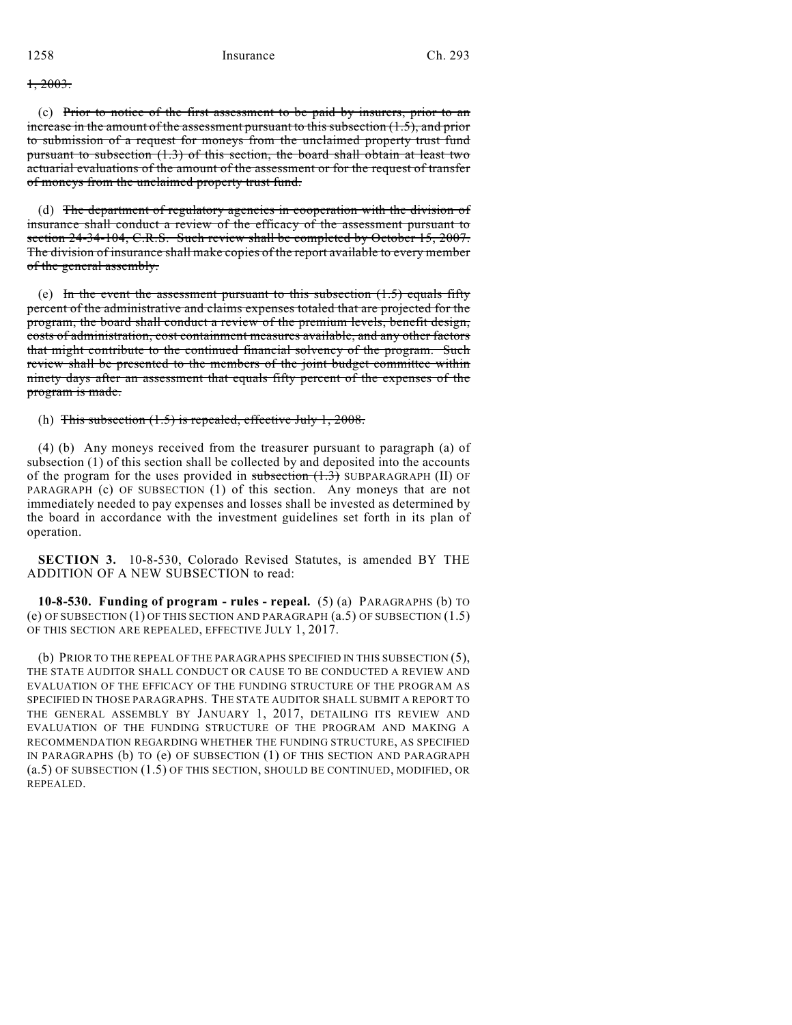1, 2003.

(c) Prior to notice of the first assessment to be paid by insurers, prior to an increase in the amount of the assessment pursuant to this subsection (1.5), and prior to submission of a request for moneys from the unclaimed property trust fund pursuant to subsection (1.3) of this section, the board shall obtain at least two actuarial evaluations of the amount of the assessment or for the request of transfer of moneys from the unclaimed property trust fund.

(d) The department of regulatory agencies in cooperation with the division of insurance shall conduct a review of the efficacy of the assessment pursuant to section 24-34-104, C.R.S. Such review shall be completed by October 15, 2007. The division of insurance shall make copies of the report available to every member of the general assembly.

(e) In the event the assessment pursuant to this subsection  $(1.5)$  equals fifty percent of the administrative and claims expenses totaled that are projected for the program, the board shall conduct a review of the premium levels, benefit design, costs of administration, cost containment measures available, and any other factors that might contribute to the continued financial solvency of the program. Such review shall be presented to the members of the joint budget committee within ninety days after an assessment that equals fifty percent of the expenses of the program is made.

(h) This subsection  $(1.5)$  is repealed, effective July 1, 2008.

(4) (b) Any moneys received from the treasurer pursuant to paragraph (a) of subsection (1) of this section shall be collected by and deposited into the accounts of the program for the uses provided in subsection  $(1.3)$  SUBPARAGRAPH (II) OF PARAGRAPH (c) OF SUBSECTION (1) of this section. Any moneys that are not immediately needed to pay expenses and losses shall be invested as determined by the board in accordance with the investment guidelines set forth in its plan of operation.

**SECTION 3.** 10-8-530, Colorado Revised Statutes, is amended BY THE ADDITION OF A NEW SUBSECTION to read:

**10-8-530. Funding of program - rules - repeal.** (5) (a) PARAGRAPHS (b) TO (e) OF SUBSECTION (1) OF THIS SECTION AND PARAGRAPH (a.5) OF SUBSECTION (1.5) OF THIS SECTION ARE REPEALED, EFFECTIVE JULY 1, 2017.

(b) PRIOR TO THE REPEAL OF THE PARAGRAPHS SPECIFIED IN THIS SUBSECTION (5), THE STATE AUDITOR SHALL CONDUCT OR CAUSE TO BE CONDUCTED A REVIEW AND EVALUATION OF THE EFFICACY OF THE FUNDING STRUCTURE OF THE PROGRAM AS SPECIFIED IN THOSE PARAGRAPHS. THE STATE AUDITOR SHALL SUBMIT A REPORT TO THE GENERAL ASSEMBLY BY JANUARY 1, 2017, DETAILING ITS REVIEW AND EVALUATION OF THE FUNDING STRUCTURE OF THE PROGRAM AND MAKING A RECOMMENDATION REGARDING WHETHER THE FUNDING STRUCTURE, AS SPECIFIED IN PARAGRAPHS (b) TO (e) OF SUBSECTION (1) OF THIS SECTION AND PARAGRAPH (a.5) OF SUBSECTION (1.5) OF THIS SECTION, SHOULD BE CONTINUED, MODIFIED, OR REPEALED.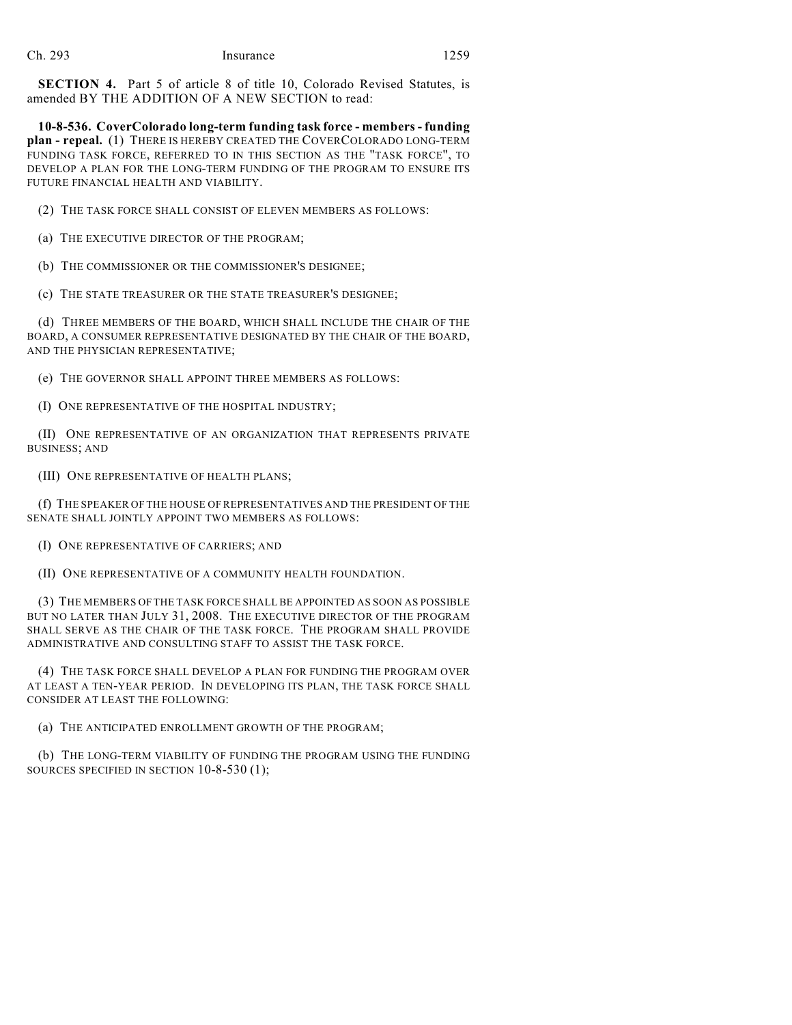**SECTION 4.** Part 5 of article 8 of title 10, Colorado Revised Statutes, is amended BY THE ADDITION OF A NEW SECTION to read:

**10-8-536. CoverColorado long-term funding task force - members - funding plan - repeal.** (1) THERE IS HEREBY CREATED THE COVERCOLORADO LONG-TERM FUNDING TASK FORCE, REFERRED TO IN THIS SECTION AS THE "TASK FORCE", TO DEVELOP A PLAN FOR THE LONG-TERM FUNDING OF THE PROGRAM TO ENSURE ITS FUTURE FINANCIAL HEALTH AND VIABILITY.

(2) THE TASK FORCE SHALL CONSIST OF ELEVEN MEMBERS AS FOLLOWS:

(a) THE EXECUTIVE DIRECTOR OF THE PROGRAM;

(b) THE COMMISSIONER OR THE COMMISSIONER'S DESIGNEE;

(c) THE STATE TREASURER OR THE STATE TREASURER'S DESIGNEE;

(d) THREE MEMBERS OF THE BOARD, WHICH SHALL INCLUDE THE CHAIR OF THE BOARD, A CONSUMER REPRESENTATIVE DESIGNATED BY THE CHAIR OF THE BOARD, AND THE PHYSICIAN REPRESENTATIVE;

(e) THE GOVERNOR SHALL APPOINT THREE MEMBERS AS FOLLOWS:

(I) ONE REPRESENTATIVE OF THE HOSPITAL INDUSTRY;

(II) ONE REPRESENTATIVE OF AN ORGANIZATION THAT REPRESENTS PRIVATE BUSINESS; AND

(III) ONE REPRESENTATIVE OF HEALTH PLANS;

(f) THE SPEAKER OF THE HOUSE OF REPRESENTATIVES AND THE PRESIDENT OF THE SENATE SHALL JOINTLY APPOINT TWO MEMBERS AS FOLLOWS:

(I) ONE REPRESENTATIVE OF CARRIERS; AND

(II) ONE REPRESENTATIVE OF A COMMUNITY HEALTH FOUNDATION.

(3) THE MEMBERS OF THE TASK FORCE SHALL BE APPOINTED AS SOON AS POSSIBLE BUT NO LATER THAN JULY 31, 2008. THE EXECUTIVE DIRECTOR OF THE PROGRAM SHALL SERVE AS THE CHAIR OF THE TASK FORCE. THE PROGRAM SHALL PROVIDE ADMINISTRATIVE AND CONSULTING STAFF TO ASSIST THE TASK FORCE.

(4) THE TASK FORCE SHALL DEVELOP A PLAN FOR FUNDING THE PROGRAM OVER AT LEAST A TEN-YEAR PERIOD. IN DEVELOPING ITS PLAN, THE TASK FORCE SHALL CONSIDER AT LEAST THE FOLLOWING:

(a) THE ANTICIPATED ENROLLMENT GROWTH OF THE PROGRAM;

(b) THE LONG-TERM VIABILITY OF FUNDING THE PROGRAM USING THE FUNDING SOURCES SPECIFIED IN SECTION 10-8-530 (1);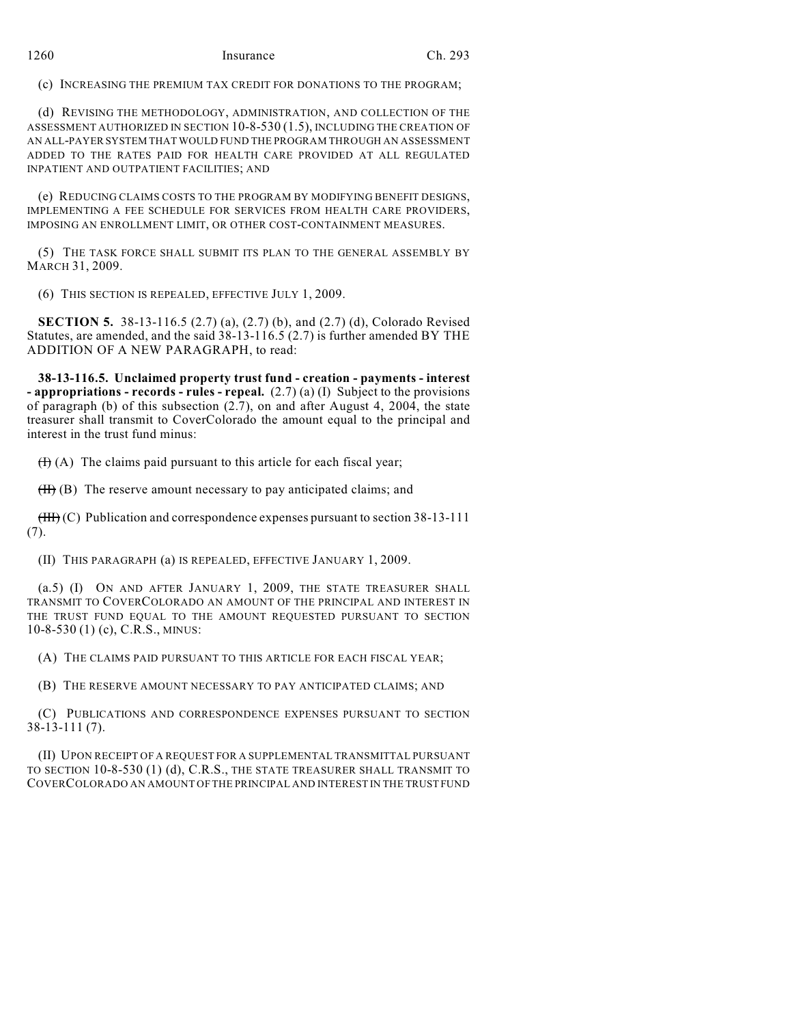(c) INCREASING THE PREMIUM TAX CREDIT FOR DONATIONS TO THE PROGRAM;

(d) REVISING THE METHODOLOGY, ADMINISTRATION, AND COLLECTION OF THE ASSESSMENT AUTHORIZED IN SECTION 10-8-530 (1.5), INCLUDING THE CREATION OF AN ALL-PAYER SYSTEM THAT WOULD FUND THE PROGRAM THROUGH AN ASSESSMENT ADDED TO THE RATES PAID FOR HEALTH CARE PROVIDED AT ALL REGULATED INPATIENT AND OUTPATIENT FACILITIES; AND

(e) REDUCING CLAIMS COSTS TO THE PROGRAM BY MODIFYING BENEFIT DESIGNS, IMPLEMENTING A FEE SCHEDULE FOR SERVICES FROM HEALTH CARE PROVIDERS, IMPOSING AN ENROLLMENT LIMIT, OR OTHER COST-CONTAINMENT MEASURES.

(5) THE TASK FORCE SHALL SUBMIT ITS PLAN TO THE GENERAL ASSEMBLY BY MARCH 31, 2009.

(6) THIS SECTION IS REPEALED, EFFECTIVE JULY 1, 2009.

**SECTION 5.** 38-13-116.5 (2.7) (a), (2.7) (b), and (2.7) (d), Colorado Revised Statutes, are amended, and the said 38-13-116.5 (2.7) is further amended BY THE ADDITION OF A NEW PARAGRAPH, to read:

**38-13-116.5. Unclaimed property trust fund - creation - payments - interest - appropriations - records - rules - repeal.** (2.7) (a) (I) Subject to the provisions of paragraph (b) of this subsection (2.7), on and after August 4, 2004, the state treasurer shall transmit to CoverColorado the amount equal to the principal and interest in the trust fund minus:

 $(H)$  (A) The claims paid pursuant to this article for each fiscal year;

 $(H)$  (B) The reserve amount necessary to pay anticipated claims; and

 $(HH)(C)$  Publication and correspondence expenses pursuant to section 38-13-111 (7).

(II) THIS PARAGRAPH (a) IS REPEALED, EFFECTIVE JANUARY 1, 2009.

(a.5) (I) ON AND AFTER JANUARY 1, 2009, THE STATE TREASURER SHALL TRANSMIT TO COVERCOLORADO AN AMOUNT OF THE PRINCIPAL AND INTEREST IN THE TRUST FUND EQUAL TO THE AMOUNT REQUESTED PURSUANT TO SECTION 10-8-530 (1) (c), C.R.S., MINUS:

(A) THE CLAIMS PAID PURSUANT TO THIS ARTICLE FOR EACH FISCAL YEAR;

(B) THE RESERVE AMOUNT NECESSARY TO PAY ANTICIPATED CLAIMS; AND

(C) PUBLICATIONS AND CORRESPONDENCE EXPENSES PURSUANT TO SECTION 38-13-111 (7).

(II) UPON RECEIPT OF A REQUEST FOR A SUPPLEMENTAL TRANSMITTAL PURSUANT TO SECTION 10-8-530 (1) (d), C.R.S., THE STATE TREASURER SHALL TRANSMIT TO COVERCOLORADO AN AMOUNT OF THE PRINCIPAL AND INTEREST IN THE TRUST FUND